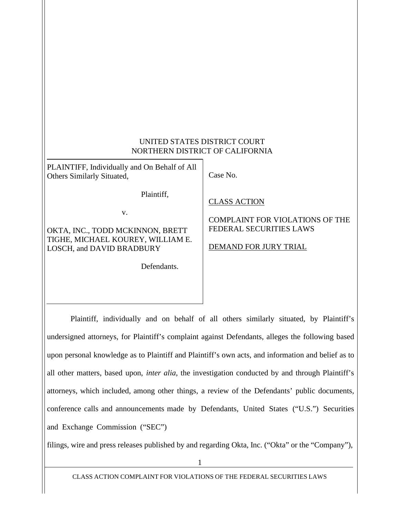### UNITED STATES DISTRICT COURT NORTHERN DISTRICT OF CALIFORNIA

PLAINTIFF, Individually and On Behalf of All Others Similarly Situated,

Plaintiff,

v.

OKTA, INC., TODD MCKINNON, BRETT TIGHE, MICHAEL KOUREY, WILLIAM E. LOSCH, and DAVID BRADBURY

Defendants.

Case No.

CLASS ACTION

## COMPLAINT FOR VIOLATIONS OF THE FEDERAL SECURITIES LAWS

DEMAND FOR JURY TRIAL

Plaintiff, individually and on behalf of all others similarly situated, by Plaintiff's undersigned attorneys, for Plaintiff's complaint against Defendants, alleges the following based upon personal knowledge as to Plaintiff and Plaintiff's own acts, and information and belief as to all other matters, based upon, *inter alia*, the investigation conducted by and through Plaintiff's attorneys, which included, among other things, a review of the Defendants' public documents, conference calls and announcements made by Defendants, United States ("U.S.") Securities and Exchange Commission ("SEC")

filings, wire and press releases published by and regarding Okta, Inc. ("Okta" or the "Company"),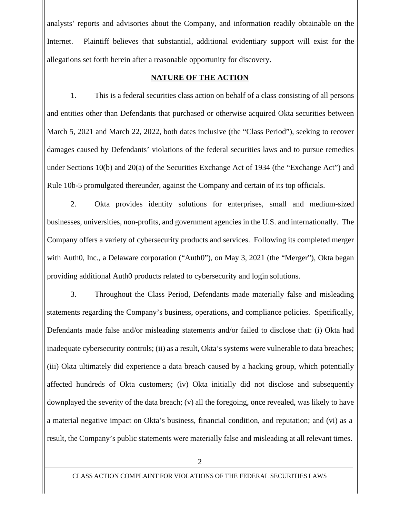analysts' reports and advisories about the Company, and information readily obtainable on the Internet. Plaintiff believes that substantial, additional evidentiary support will exist for the allegations set forth herein after a reasonable opportunity for discovery.

### **NATURE OF THE ACTION**

1. This is a federal securities class action on behalf of a class consisting of all persons and entities other than Defendants that purchased or otherwise acquired Okta securities between March 5, 2021 and March 22, 2022, both dates inclusive (the "Class Period"), seeking to recover damages caused by Defendants' violations of the federal securities laws and to pursue remedies under Sections 10(b) and 20(a) of the Securities Exchange Act of 1934 (the "Exchange Act") and Rule 10b-5 promulgated thereunder, against the Company and certain of its top officials.

2. Okta provides identity solutions for enterprises, small and medium-sized businesses, universities, non-profits, and government agencies in the U.S. and internationally. The Company offers a variety of cybersecurity products and services. Following its completed merger with Auth0, Inc., a Delaware corporation ("Auth0"), on May 3, 2021 (the "Merger"), Okta began providing additional Auth0 products related to cybersecurity and login solutions.

3. Throughout the Class Period, Defendants made materially false and misleading statements regarding the Company's business, operations, and compliance policies. Specifically, Defendants made false and/or misleading statements and/or failed to disclose that: (i) Okta had inadequate cybersecurity controls; (ii) as a result, Okta's systems were vulnerable to data breaches; (iii) Okta ultimately did experience a data breach caused by a hacking group, which potentially affected hundreds of Okta customers; (iv) Okta initially did not disclose and subsequently downplayed the severity of the data breach; (v) all the foregoing, once revealed, was likely to have a material negative impact on Okta's business, financial condition, and reputation; and (vi) as a result, the Company's public statements were materially false and misleading at all relevant times.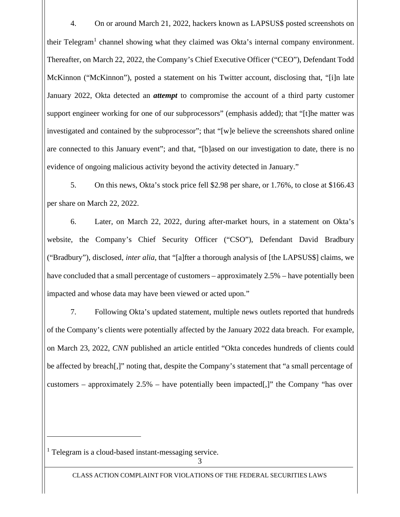4. On or around March 21, 2022, hackers known as LAPSUS\$ posted screenshots on their Telegram<sup>1</sup> channel showing what they claimed was Okta's internal company environment. Thereafter, on March 22, 2022, the Company's Chief Executive Officer ("CEO"), Defendant Todd McKinnon ("McKinnon"), posted a statement on his Twitter account, disclosing that, "[i]n late January 2022, Okta detected an *attempt* to compromise the account of a third party customer support engineer working for one of our subprocessors" (emphasis added); that "[t]he matter was investigated and contained by the subprocessor"; that "[w]e believe the screenshots shared online are connected to this January event"; and that, "[b]ased on our investigation to date, there is no evidence of ongoing malicious activity beyond the activity detected in January."

5. On this news, Okta's stock price fell \$2.98 per share, or 1.76%, to close at \$166.43 per share on March 22, 2022.

6. Later, on March 22, 2022, during after-market hours, in a statement on Okta's website, the Company's Chief Security Officer ("CSO"), Defendant David Bradbury ("Bradbury"), disclosed, *inter alia*, that "[a]fter a thorough analysis of [the LAPSUS\$] claims, we have concluded that a small percentage of customers – approximately 2.5% – have potentially been impacted and whose data may have been viewed or acted upon."

7. Following Okta's updated statement, multiple news outlets reported that hundreds of the Company's clients were potentially affected by the January 2022 data breach. For example, on March 23, 2022, *CNN* published an article entitled "Okta concedes hundreds of clients could be affected by breach[,]" noting that, despite the Company's statement that "a small percentage of customers – approximately 2.5% – have potentially been impacted[,]" the Company "has over

<sup>1</sup> Telegram is a cloud-based instant-messaging service.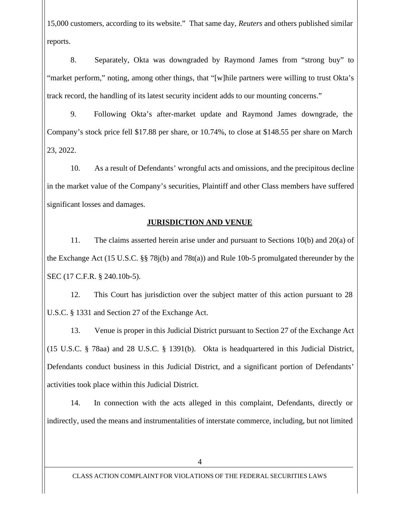15,000 customers, according to its website." That same day, *Reuters* and others published similar reports.

8. Separately, Okta was downgraded by Raymond James from "strong buy" to "market perform," noting, among other things, that "[w]hile partners were willing to trust Okta's track record, the handling of its latest security incident adds to our mounting concerns."

9. Following Okta's after-market update and Raymond James downgrade, the Company's stock price fell \$17.88 per share, or 10.74%, to close at \$148.55 per share on March 23, 2022.

10. As a result of Defendants' wrongful acts and omissions, and the precipitous decline in the market value of the Company's securities, Plaintiff and other Class members have suffered significant losses and damages.

## **JURISDICTION AND VENUE**

11. The claims asserted herein arise under and pursuant to Sections 10(b) and 20(a) of the Exchange Act (15 U.S.C. §§ 78j(b) and 78t(a)) and Rule 10b-5 promulgated thereunder by the SEC (17 C.F.R. § 240.10b-5).

12. This Court has jurisdiction over the subject matter of this action pursuant to 28 U.S.C. § 1331 and Section 27 of the Exchange Act.

13. Venue is proper in this Judicial District pursuant to Section 27 of the Exchange Act (15 U.S.C. § 78aa) and 28 U.S.C. § 1391(b). Okta is headquartered in this Judicial District, Defendants conduct business in this Judicial District, and a significant portion of Defendants' activities took place within this Judicial District.

14. In connection with the acts alleged in this complaint, Defendants, directly or indirectly, used the means and instrumentalities of interstate commerce, including, but not limited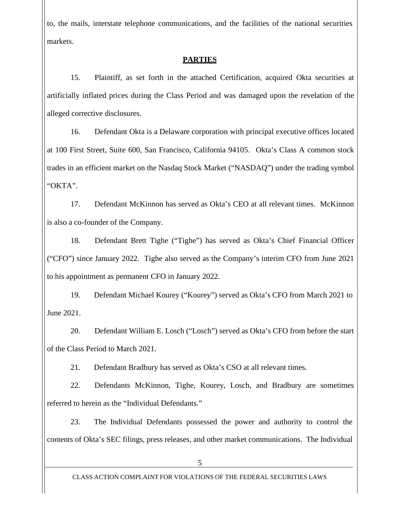to, the mails, interstate telephone communications, and the facilities of the national securities markets.

### **PARTIES**

15. Plaintiff, as set forth in the attached Certification, acquired Okta securities at artificially inflated prices during the Class Period and was damaged upon the revelation of the alleged corrective disclosures.

16. Defendant Okta is a Delaware corporation with principal executive offices located at 100 First Street, Suite 600, San Francisco, California 94105. Okta's Class A common stock trades in an efficient market on the Nasdaq Stock Market ("NASDAQ") under the trading symbol "OKTA".

17. Defendant McKinnon has served as Okta's CEO at all relevant times. McKinnon is also a co-founder of the Company.

18. Defendant Brett Tighe ("Tighe") has served as Okta's Chief Financial Officer ("CFO") since January 2022. Tighe also served as the Company's interim CFO from June 2021 to his appointment as permanent CFO in January 2022.

19. Defendant Michael Kourey ("Kourey") served as Okta's CFO from March 2021 to June 2021.

20. Defendant William E. Losch ("Losch") served as Okta's CFO from before the start of the Class Period to March 2021.

21. Defendant Bradbury has served as Okta's CSO at all relevant times.

22. Defendants McKinnon, Tighe, Kourey, Losch, and Bradbury are sometimes referred to herein as the "Individual Defendants."

23. The Individual Defendants possessed the power and authority to control the contents of Okta's SEC filings, press releases, and other market communications. The Individual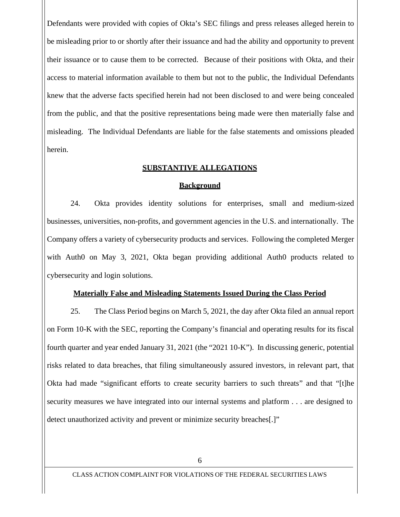Defendants were provided with copies of Okta's SEC filings and press releases alleged herein to be misleading prior to or shortly after their issuance and had the ability and opportunity to prevent their issuance or to cause them to be corrected. Because of their positions with Okta, and their access to material information available to them but not to the public, the Individual Defendants knew that the adverse facts specified herein had not been disclosed to and were being concealed from the public, and that the positive representations being made were then materially false and misleading. The Individual Defendants are liable for the false statements and omissions pleaded herein.

#### **SUBSTANTIVE ALLEGATIONS**

#### **Background**

24. Okta provides identity solutions for enterprises, small and medium-sized businesses, universities, non-profits, and government agencies in the U.S. and internationally. The Company offers a variety of cybersecurity products and services. Following the completed Merger with Auth0 on May 3, 2021, Okta began providing additional Auth0 products related to cybersecurity and login solutions.

#### **Materially False and Misleading Statements Issued During the Class Period**

25. The Class Period begins on March 5, 2021, the day after Okta filed an annual report on Form 10-K with the SEC, reporting the Company's financial and operating results for its fiscal fourth quarter and year ended January 31, 2021 (the "2021 10-K"). In discussing generic, potential risks related to data breaches, that filing simultaneously assured investors, in relevant part, that Okta had made "significant efforts to create security barriers to such threats" and that "[t]he security measures we have integrated into our internal systems and platform . . . are designed to detect unauthorized activity and prevent or minimize security breaches[.]"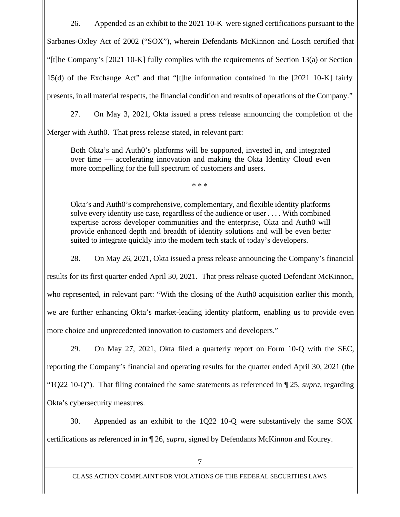26. Appended as an exhibit to the 2021 10-K were signed certifications pursuant to the Sarbanes-Oxley Act of 2002 ("SOX"), wherein Defendants McKinnon and Losch certified that "[t]he Company's [2021 10-K] fully complies with the requirements of Section 13(a) or Section 15(d) of the Exchange Act" and that "[t]he information contained in the [2021 10-K] fairly presents, in all material respects, the financial condition and results of operations of the Company."

27. On May 3, 2021, Okta issued a press release announcing the completion of the

Merger with Auth0. That press release stated, in relevant part:

Both Okta's and Auth0's platforms will be supported, invested in, and integrated over time — accelerating innovation and making the Okta Identity Cloud even more compelling for the full spectrum of customers and users.

\* \* \*

Okta's and Auth0's comprehensive, complementary, and flexible identity platforms solve every identity use case, regardless of the audience or user . . . . With combined expertise across developer communities and the enterprise, Okta and Auth0 will provide enhanced depth and breadth of identity solutions and will be even better suited to integrate quickly into the modern tech stack of today's developers.

28. On May 26, 2021, Okta issued a press release announcing the Company's financial results for its first quarter ended April 30, 2021. That press release quoted Defendant McKinnon, who represented, in relevant part: "With the closing of the Auth0 acquisition earlier this month, we are further enhancing Okta's market-leading identity platform, enabling us to provide even more choice and unprecedented innovation to customers and developers."

29. On May 27, 2021, Okta filed a quarterly report on Form 10-Q with the SEC, reporting the Company's financial and operating results for the quarter ended April 30, 2021 (the "1Q22 10-Q"). That filing contained the same statements as referenced in ¶ 25,*supra*, regarding Okta's cybersecurity measures.

30. Appended as an exhibit to the 1Q22 10-Q were substantively the same SOX certifications as referenced in in ¶ 26,*supra*, signed by Defendants McKinnon and Kourey.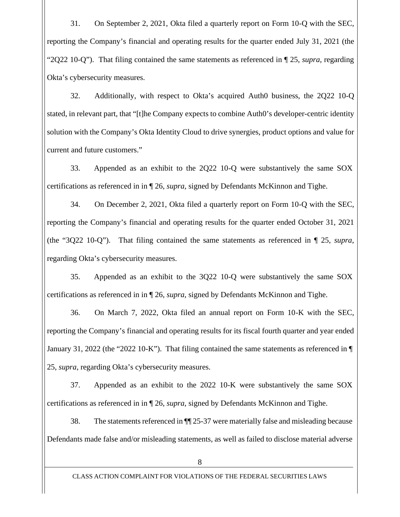31. On September 2, 2021, Okta filed a quarterly report on Form 10-Q with the SEC, reporting the Company's financial and operating results for the quarter ended July 31, 2021 (the "2Q22 10-Q"). That filing contained the same statements as referenced in ¶ 25,*supra*, regarding Okta's cybersecurity measures.

32. Additionally, with respect to Okta's acquired Auth0 business, the 2Q22 10-Q stated, in relevant part, that "[t]he Company expects to combine Auth0's developer-centric identity solution with the Company's Okta Identity Cloud to drive synergies, product options and value for current and future customers."

33. Appended as an exhibit to the 2Q22 10-Q were substantively the same SOX certifications as referenced in in ¶ 26,*supra*, signed by Defendants McKinnon and Tighe.

34. On December 2, 2021, Okta filed a quarterly report on Form 10-Q with the SEC, reporting the Company's financial and operating results for the quarter ended October 31, 2021 (the "3Q22 10-Q"). That filing contained the same statements as referenced in ¶ 25, *supra*, regarding Okta's cybersecurity measures.

35. Appended as an exhibit to the 3Q22 10-Q were substantively the same SOX certifications as referenced in in ¶ 26,*supra*, signed by Defendants McKinnon and Tighe.

36. On March 7, 2022, Okta filed an annual report on Form 10-K with the SEC, reporting the Company's financial and operating results for its fiscal fourth quarter and year ended January 31, 2022 (the "2022 10-K"). That filing contained the same statements as referenced in ¶ 25, *supra*, regarding Okta's cybersecurity measures.

37. Appended as an exhibit to the 2022 10-K were substantively the same SOX certifications as referenced in in ¶ 26,*supra*, signed by Defendants McKinnon and Tighe.

38. The statements referenced in  $\P$  25-37 were materially false and misleading because Defendants made false and/or misleading statements, as well as failed to disclose material adverse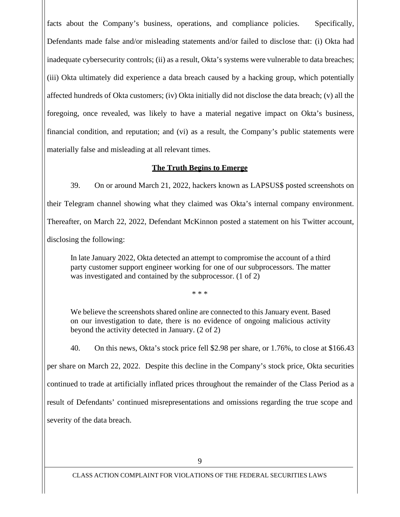facts about the Company's business, operations, and compliance policies. Specifically, Defendants made false and/or misleading statements and/or failed to disclose that: (i) Okta had inadequate cybersecurity controls; (ii) as a result, Okta's systems were vulnerable to data breaches; (iii) Okta ultimately did experience a data breach caused by a hacking group, which potentially affected hundreds of Okta customers; (iv) Okta initially did not disclose the data breach; (v) all the foregoing, once revealed, was likely to have a material negative impact on Okta's business, financial condition, and reputation; and (vi) as a result, the Company's public statements were materially false and misleading at all relevant times.

### **The Truth Begins to Emerge**

39. On or around March 21, 2022, hackers known as LAPSUS\$ posted screenshots on their Telegram channel showing what they claimed was Okta's internal company environment. Thereafter, on March 22, 2022, Defendant McKinnon posted a statement on his Twitter account, disclosing the following:

In late January 2022, Okta detected an attempt to compromise the account of a third party customer support engineer working for one of our subprocessors. The matter was investigated and contained by the subprocessor. (1 of 2)

\* \* \*

We believe the screenshots shared online are connected to this January event. Based on our investigation to date, there is no evidence of ongoing malicious activity beyond the activity detected in January. (2 of 2)

40. On this news, Okta's stock price fell \$2.98 per share, or 1.76%, to close at \$166.43 per share on March 22, 2022. Despite this decline in the Company's stock price, Okta securities continued to trade at artificially inflated prices throughout the remainder of the Class Period as a result of Defendants' continued misrepresentations and omissions regarding the true scope and severity of the data breach.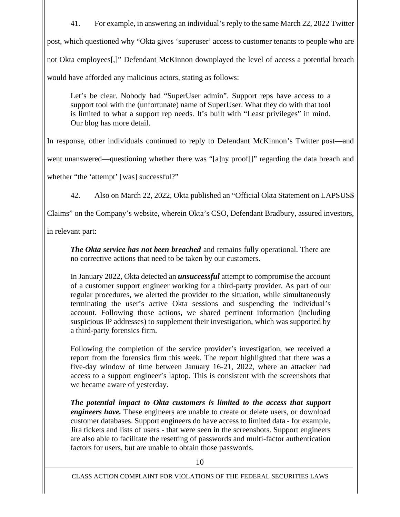41. For example, in answering an individual's reply to the same March 22, 2022 Twitter post, which questioned why "Okta gives 'superuser' access to customer tenants to people who are not Okta employees[,]" Defendant McKinnon downplayed the level of access a potential breach would have afforded any malicious actors, stating as follows:

Let's be clear. Nobody had "SuperUser admin". Support reps have access to a support tool with the (unfortunate) name of SuperUser. What they do with that tool is limited to what a support rep needs. It's built with "Least privileges" in mind. Our blog has more detail.

In response, other individuals continued to reply to Defendant McKinnon's Twitter post—and

went unanswered—questioning whether there was "[a]ny proof[]" regarding the data breach and

whether "the 'attempt' [was] successful?"

42. Also on March 22, 2022, Okta published an "Official Okta Statement on LAPSUS\$

Claims" on the Company's website, wherein Okta's CSO, Defendant Bradbury, assured investors,

in relevant part:

*The Okta service has not been breached* and remains fully operational. There are no corrective actions that need to be taken by our customers.

In January 2022, Okta detected an *unsuccessful* attempt to compromise the account of a customer support engineer working for a third-party provider. As part of our regular procedures, we alerted the provider to the situation, while simultaneously terminating the user's active Okta sessions and suspending the individual's account. Following those actions, we shared pertinent information (including suspicious IP addresses) to supplement their investigation, which was supported by a third-party forensics firm.

Following the completion of the service provider's investigation, we received a report from the forensics firm this week. The report highlighted that there was a five-day window of time between January 16-21, 2022, where an attacker had access to a support engineer's laptop. This is consistent with the screenshots that we became aware of yesterday.

*The potential impact to Okta customers is limited to the access that support engineers have.* These engineers are unable to create or delete users, or download customer databases. Support engineers do have access to limited data - for example, Jira tickets and lists of users - that were seen in the screenshots. Support engineers are also able to facilitate the resetting of passwords and multi-factor authentication factors for users, but are unable to obtain those passwords.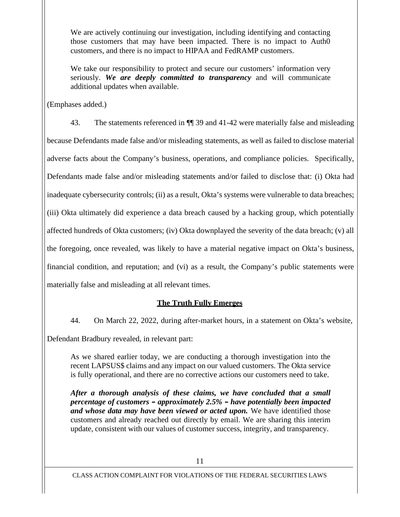We are actively continuing our investigation, including identifying and contacting those customers that may have been impacted. There is no impact to Auth0 customers, and there is no impact to HIPAA and FedRAMP customers.

We take our responsibility to protect and secure our customers' information very seriously. *We are deeply committed to transparency* and will communicate additional updates when available.

(Emphases added.)

43. The statements referenced in ¶¶ 39 and 41-42 were materially false and misleading because Defendants made false and/or misleading statements, as well as failed to disclose material adverse facts about the Company's business, operations, and compliance policies. Specifically, Defendants made false and/or misleading statements and/or failed to disclose that: (i) Okta had inadequate cybersecurity controls; (ii) as a result, Okta's systems were vulnerable to data breaches; (iii) Okta ultimately did experience a data breach caused by a hacking group, which potentially affected hundreds of Okta customers; (iv) Okta downplayed the severity of the data breach; (v) all the foregoing, once revealed, was likely to have a material negative impact on Okta's business, financial condition, and reputation; and (vi) as a result, the Company's public statements were materially false and misleading at all relevant times.

## **The Truth Fully Emerges**

44. On March 22, 2022, during after-market hours, in a statement on Okta's website,

Defendant Bradbury revealed, in relevant part:

As we shared earlier today, we are conducting a thorough investigation into the recent LAPSUS\$ claims and any impact on our valued customers. The Okta service is fully operational, and there are no corrective actions our customers need to take.

*After a thorough analysis of these claims, we have concluded that a small percentage of customers – approximately 2.5% – have potentially been impacted and whose data may have been viewed or acted upon.* We have identified those customers and already reached out directly by email. We are sharing this interim update, consistent with our values of customer success, integrity, and transparency.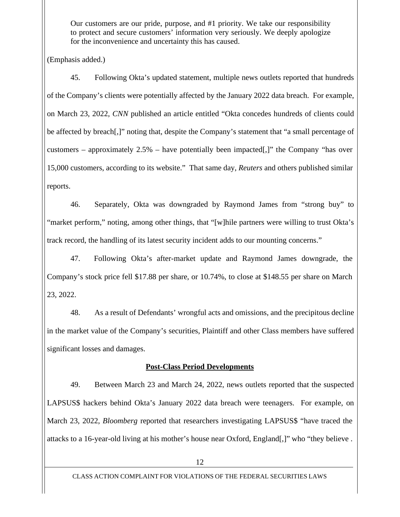Our customers are our pride, purpose, and #1 priority. We take our responsibility to protect and secure customers' information very seriously. We deeply apologize for the inconvenience and uncertainty this has caused.

(Emphasis added.)

45. Following Okta's updated statement, multiple news outlets reported that hundreds of the Company's clients were potentially affected by the January 2022 data breach. For example, on March 23, 2022, *CNN* published an article entitled "Okta concedes hundreds of clients could be affected by breach[,]" noting that, despite the Company's statement that "a small percentage of customers – approximately 2.5% – have potentially been impacted[,]" the Company "has over 15,000 customers, according to its website." That same day, *Reuters* and others published similar reports.

46. Separately, Okta was downgraded by Raymond James from "strong buy" to "market perform," noting, among other things, that "[w]hile partners were willing to trust Okta's track record, the handling of its latest security incident adds to our mounting concerns."

47. Following Okta's after-market update and Raymond James downgrade, the Company's stock price fell \$17.88 per share, or 10.74%, to close at \$148.55 per share on March 23, 2022.

48. As a result of Defendants' wrongful acts and omissions, and the precipitous decline in the market value of the Company's securities, Plaintiff and other Class members have suffered significant losses and damages.

# **Post-Class Period Developments**

49. Between March 23 and March 24, 2022, news outlets reported that the suspected LAPSUS\$ hackers behind Okta's January 2022 data breach were teenagers. For example, on March 23, 2022, *Bloomberg* reported that researchers investigating LAPSUS\$ "have traced the attacks to a 16-year-old living at his mother's house near Oxford, England[,]" who "they believe .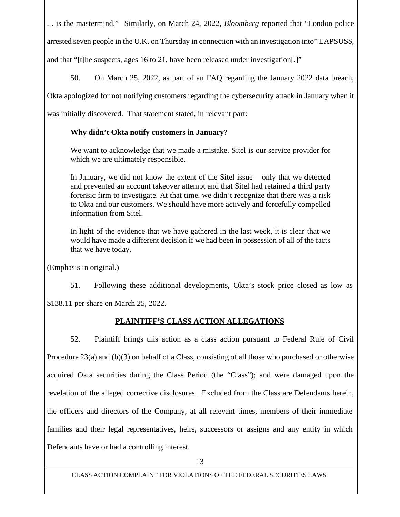. . is the mastermind." Similarly, on March 24, 2022, *Bloomberg* reported that "London police arrested seven people in the U.K. on Thursday in connection with an investigation into" LAPSUS\$, and that "[t]he suspects, ages 16 to 21, have been released under investigation[.]"

50. On March 25, 2022, as part of an FAQ regarding the January 2022 data breach,

Okta apologized for not notifying customers regarding the cybersecurity attack in January when it

was initially discovered. That statement stated, in relevant part:

# **Why didn't Okta notify customers in January?**

We want to acknowledge that we made a mistake. Sitel is our service provider for which we are ultimately responsible.

In January, we did not know the extent of the Sitel issue – only that we detected and prevented an account takeover attempt and that Sitel had retained a third party forensic firm to investigate. At that time, we didn't recognize that there was a risk to Okta and our customers. We should have more actively and forcefully compelled information from Sitel.

In light of the evidence that we have gathered in the last week, it is clear that we would have made a different decision if we had been in possession of all of the facts that we have today.

(Emphasis in original.)

51. Following these additional developments, Okta's stock price closed as low as

\$138.11 per share on March 25, 2022.

# **PLAINTIFF'S CLASS ACTION ALLEGATIONS**

52. Plaintiff brings this action as a class action pursuant to Federal Rule of Civil Procedure 23(a) and (b)(3) on behalf of a Class, consisting of all those who purchased or otherwise acquired Okta securities during the Class Period (the "Class"); and were damaged upon the revelation of the alleged corrective disclosures. Excluded from the Class are Defendants herein, the officers and directors of the Company, at all relevant times, members of their immediate families and their legal representatives, heirs, successors or assigns and any entity in which Defendants have or had a controlling interest.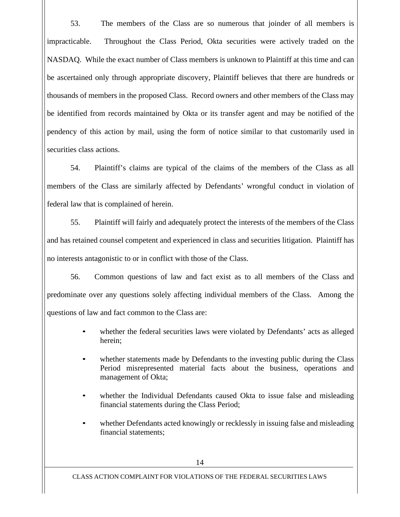53. The members of the Class are so numerous that joinder of all members is impracticable. Throughout the Class Period, Okta securities were actively traded on the NASDAQ. While the exact number of Class members is unknown to Plaintiff at this time and can be ascertained only through appropriate discovery, Plaintiff believes that there are hundreds or thousands of members in the proposed Class. Record owners and other members of the Class may be identified from records maintained by Okta or its transfer agent and may be notified of the pendency of this action by mail, using the form of notice similar to that customarily used in securities class actions.

54. Plaintiff's claims are typical of the claims of the members of the Class as all members of the Class are similarly affected by Defendants' wrongful conduct in violation of federal law that is complained of herein.

55. Plaintiff will fairly and adequately protect the interests of the members of the Class and has retained counsel competent and experienced in class and securities litigation. Plaintiff has no interests antagonistic to or in conflict with those of the Class.

56. Common questions of law and fact exist as to all members of the Class and predominate over any questions solely affecting individual members of the Class. Among the questions of law and fact common to the Class are:

- whether the federal securities laws were violated by Defendants' acts as alleged herein;
- whether statements made by Defendants to the investing public during the Class Period misrepresented material facts about the business, operations and management of Okta;
- whether the Individual Defendants caused Okta to issue false and misleading financial statements during the Class Period;
- whether Defendants acted knowingly or recklessly in issuing false and misleading financial statements;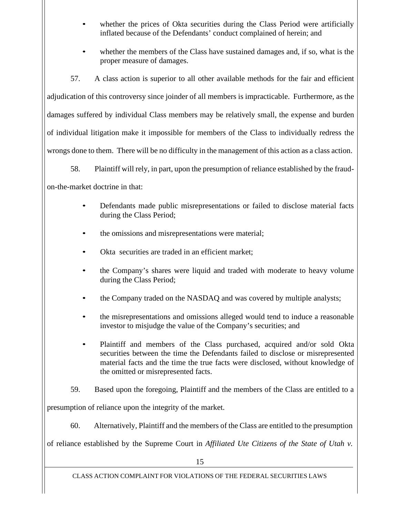- whether the prices of Okta securities during the Class Period were artificially inflated because of the Defendants' conduct complained of herein; and
- whether the members of the Class have sustained damages and, if so, what is the proper measure of damages.

57. A class action is superior to all other available methods for the fair and efficient adjudication of this controversy since joinder of all members is impracticable. Furthermore, as the damages suffered by individual Class members may be relatively small, the expense and burden of individual litigation make it impossible for members of the Class to individually redress the wrongs done to them. There will be no difficulty in the management of this action as a class action.

58. Plaintiff will rely, in part, upon the presumption of reliance established by the fraud-

on-the-market doctrine in that:

- Defendants made public misrepresentations or failed to disclose material facts during the Class Period;
- the omissions and misrepresentations were material;
- Okta securities are traded in an efficient market:
- the Company's shares were liquid and traded with moderate to heavy volume during the Class Period;
- the Company traded on the NASDAQ and was covered by multiple analysts;
- the misrepresentations and omissions alleged would tend to induce a reasonable investor to misjudge the value of the Company's securities; and
- Plaintiff and members of the Class purchased, acquired and/or sold Okta securities between the time the Defendants failed to disclose or misrepresented material facts and the time the true facts were disclosed, without knowledge of the omitted or misrepresented facts.
- 59. Based upon the foregoing, Plaintiff and the members of the Class are entitled to a

presumption of reliance upon the integrity of the market.

60. Alternatively, Plaintiff and the members of the Class are entitled to the presumption

of reliance established by the Supreme Court in *Affiliated Ute Citizens of the State of Utah v.*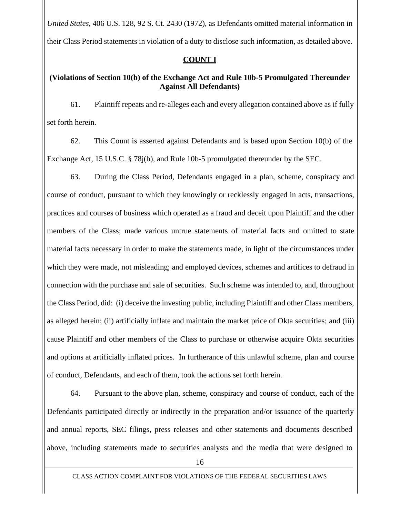*United States*, 406 U.S. 128, 92 S. Ct. 2430 (1972), as Defendants omitted material information in their Class Period statements in violation of a duty to disclose such information, as detailed above.

### **COUNT I**

## **(Violations of Section 10(b) of the Exchange Act and Rule 10b-5 Promulgated Thereunder Against All Defendants)**

61. Plaintiff repeats and re-alleges each and every allegation contained above as if fully set forth herein.

62. This Count is asserted against Defendants and is based upon Section 10(b) of the Exchange Act, 15 U.S.C. § 78j(b), and Rule 10b-5 promulgated thereunder by the SEC.

63. During the Class Period, Defendants engaged in a plan, scheme, conspiracy and course of conduct, pursuant to which they knowingly or recklessly engaged in acts, transactions, practices and courses of business which operated as a fraud and deceit upon Plaintiff and the other members of the Class; made various untrue statements of material facts and omitted to state material facts necessary in order to make the statements made, in light of the circumstances under which they were made, not misleading; and employed devices, schemes and artifices to defraud in connection with the purchase and sale of securities. Such scheme was intended to, and, throughout the Class Period, did: (i) deceive the investing public, including Plaintiff and other Class members, as alleged herein; (ii) artificially inflate and maintain the market price of Okta securities; and (iii) cause Plaintiff and other members of the Class to purchase or otherwise acquire Okta securities and options at artificially inflated prices. In furtherance of this unlawful scheme, plan and course of conduct, Defendants, and each of them, took the actions set forth herein.

64. Pursuant to the above plan, scheme, conspiracy and course of conduct, each of the Defendants participated directly or indirectly in the preparation and/or issuance of the quarterly and annual reports, SEC filings, press releases and other statements and documents described above, including statements made to securities analysts and the media that were designed to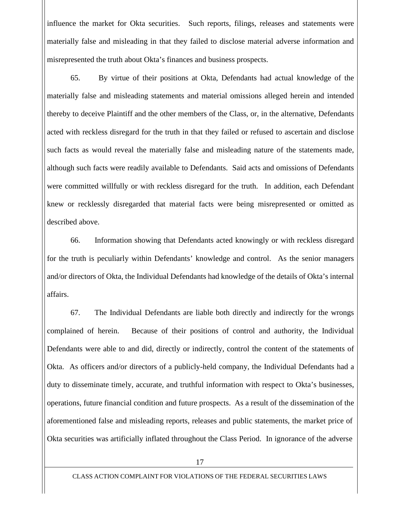influence the market for Okta securities. Such reports, filings, releases and statements were materially false and misleading in that they failed to disclose material adverse information and misrepresented the truth about Okta's finances and business prospects.

65. By virtue of their positions at Okta, Defendants had actual knowledge of the materially false and misleading statements and material omissions alleged herein and intended thereby to deceive Plaintiff and the other members of the Class, or, in the alternative, Defendants acted with reckless disregard for the truth in that they failed or refused to ascertain and disclose such facts as would reveal the materially false and misleading nature of the statements made, although such facts were readily available to Defendants. Said acts and omissions of Defendants were committed willfully or with reckless disregard for the truth. In addition, each Defendant knew or recklessly disregarded that material facts were being misrepresented or omitted as described above.

66. Information showing that Defendants acted knowingly or with reckless disregard for the truth is peculiarly within Defendants' knowledge and control. As the senior managers and/or directors of Okta, the Individual Defendants had knowledge of the details of Okta's internal affairs.

67. The Individual Defendants are liable both directly and indirectly for the wrongs complained of herein. Because of their positions of control and authority, the Individual Defendants were able to and did, directly or indirectly, control the content of the statements of Okta. As officers and/or directors of a publicly-held company, the Individual Defendants had a duty to disseminate timely, accurate, and truthful information with respect to Okta's businesses, operations, future financial condition and future prospects. As a result of the dissemination of the aforementioned false and misleading reports, releases and public statements, the market price of Okta securities was artificially inflated throughout the Class Period. In ignorance of the adverse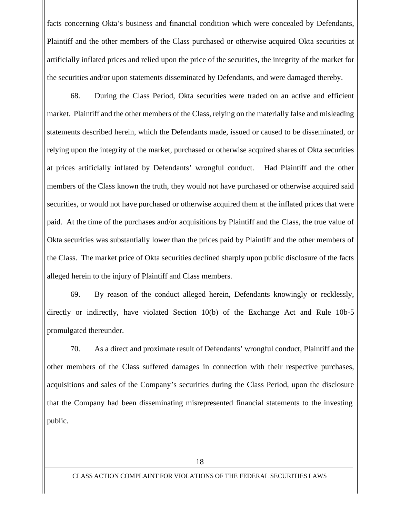facts concerning Okta's business and financial condition which were concealed by Defendants, Plaintiff and the other members of the Class purchased or otherwise acquired Okta securities at artificially inflated prices and relied upon the price of the securities, the integrity of the market for the securities and/or upon statements disseminated by Defendants, and were damaged thereby.

68. During the Class Period, Okta securities were traded on an active and efficient market. Plaintiff and the other members of the Class, relying on the materially false and misleading statements described herein, which the Defendants made, issued or caused to be disseminated, or relying upon the integrity of the market, purchased or otherwise acquired shares of Okta securities at prices artificially inflated by Defendants' wrongful conduct. Had Plaintiff and the other members of the Class known the truth, they would not have purchased or otherwise acquired said securities, or would not have purchased or otherwise acquired them at the inflated prices that were paid. At the time of the purchases and/or acquisitions by Plaintiff and the Class, the true value of Okta securities was substantially lower than the prices paid by Plaintiff and the other members of the Class. The market price of Okta securities declined sharply upon public disclosure of the facts alleged herein to the injury of Plaintiff and Class members.

69. By reason of the conduct alleged herein, Defendants knowingly or recklessly, directly or indirectly, have violated Section 10(b) of the Exchange Act and Rule 10b-5 promulgated thereunder.

70. As a direct and proximate result of Defendants' wrongful conduct, Plaintiff and the other members of the Class suffered damages in connection with their respective purchases, acquisitions and sales of the Company's securities during the Class Period, upon the disclosure that the Company had been disseminating misrepresented financial statements to the investing public.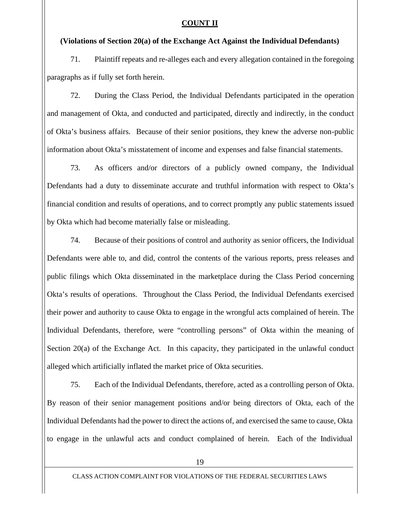#### **COUNT II**

### **(Violations of Section 20(a) of the Exchange Act Against the Individual Defendants)**

71. Plaintiff repeats and re-alleges each and every allegation contained in the foregoing paragraphs as if fully set forth herein.

72. During the Class Period, the Individual Defendants participated in the operation and management of Okta, and conducted and participated, directly and indirectly, in the conduct of Okta's business affairs. Because of their senior positions, they knew the adverse non-public information about Okta's misstatement of income and expenses and false financial statements.

73. As officers and/or directors of a publicly owned company, the Individual Defendants had a duty to disseminate accurate and truthful information with respect to Okta's financial condition and results of operations, and to correct promptly any public statements issued by Okta which had become materially false or misleading.

74. Because of their positions of control and authority as senior officers, the Individual Defendants were able to, and did, control the contents of the various reports, press releases and public filings which Okta disseminated in the marketplace during the Class Period concerning Okta's results of operations. Throughout the Class Period, the Individual Defendants exercised their power and authority to cause Okta to engage in the wrongful acts complained of herein. The Individual Defendants, therefore, were "controlling persons" of Okta within the meaning of Section 20(a) of the Exchange Act. In this capacity, they participated in the unlawful conduct alleged which artificially inflated the market price of Okta securities.

75. Each of the Individual Defendants, therefore, acted as a controlling person of Okta. By reason of their senior management positions and/or being directors of Okta, each of the Individual Defendants had the power to direct the actions of, and exercised the same to cause, Okta to engage in the unlawful acts and conduct complained of herein. Each of the Individual